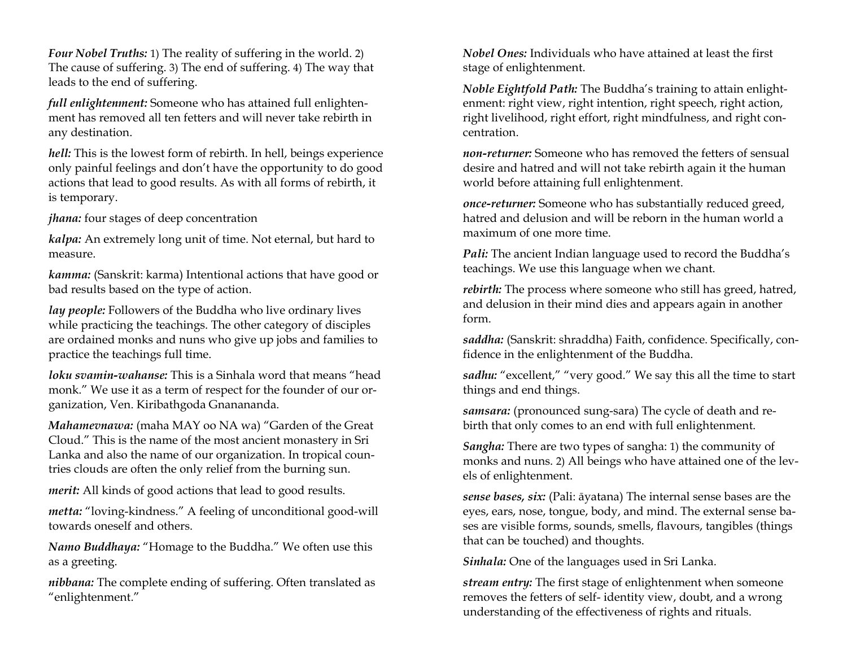*Four Nobel Truths:* 1) The reality of suffering in the world. 2) The cause of suffering. 3) The end of suffering. 4) The way that leads to the end of suffering.

*full enlightenment:* Someone who has attained full enlightenment has removed all ten fetters and will never take rebirth in any destination.

*hell:* This is the lowest form of rebirth. In hell, beings experience only painful feelings and don't have the opportunity to do good actions that lead to good results. As with all forms of rebirth, it is temporary.

*jhana:* four stages of deep concentration

*kalpa:* An extremely long unit of time. Not eternal, but hard to measure.

*kamma:* (Sanskrit: karma) Intentional actions that have good or bad results based on the type of action.

*lay people:* Followers of the Buddha who live ordinary lives while practicing the teachings. The other category of disciples are ordained monks and nuns who give up jobs and families to practice the teachings full time.

*loku svamin-wahanse:* This is a Sinhala word that means "head monk." We use it as a term of respect for the founder of our organization, Ven. Kiribathgoda Gnanananda.

*Mahamevnawa:* (maha MAY oo NA wa) "Garden of the Great Cloud." This is the name of the most ancient monastery in Sri Lanka and also the name of our organization. In tropical countries clouds are often the only relief from the burning sun.

*merit:* All kinds of good actions that lead to good results.

*metta:* "loving-kindness." A feeling of unconditional good-will towards oneself and others.

*Namo Buddhaya:* "Homage to the Buddha." We often use this as a greeting.

*nibbana:* The complete ending of suffering. Often translated as "enlightenment."

*Nobel Ones:* Individuals who have attained at least the first stage of enlightenment.

*Noble Eightfold Path:* The Buddha's training to attain enlightenment: right view, right intention, right speech, right action, right livelihood, right effort, right mindfulness, and right concentration.

*non-returner:* Someone who has removed the fetters of sensual desire and hatred and will not take rebirth again it the human world before attaining full enlightenment.

*once-returner:* Someone who has substantially reduced greed, hatred and delusion and will be reborn in the human world a maximum of one more time.

*Pali:* The ancient Indian language used to record the Buddha's teachings. We use this language when we chant.

*rebirth:* The process where someone who still has greed, hatred, and delusion in their mind dies and appears again in another form.

*saddha:* (Sanskrit: shraddha) Faith, confidence. Specifically, confidence in the enlightenment of the Buddha.

*sadhu:* "excellent," "very good." We say this all the time to start things and end things.

*samsara:* (pronounced sung-sara) The cycle of death and rebirth that only comes to an end with full enlightenment.

*Sangha:* There are two types of sangha: 1) the community of monks and nuns. 2) All beings who have attained one of the levels of enlightenment.

*sense bases, six:* (Pali: āyatana) The internal sense bases are the eyes, ears, nose, tongue, body, and mind. The external sense bases are visible forms, sounds, smells, flavours, tangibles (things that can be touched) and thoughts.

*Sinhala:* One of the languages used in Sri Lanka.

*stream entry:* The first stage of enlightenment when someone removes the fetters of self- identity view, doubt, and a wrong understanding of the effectiveness of rights and rituals.